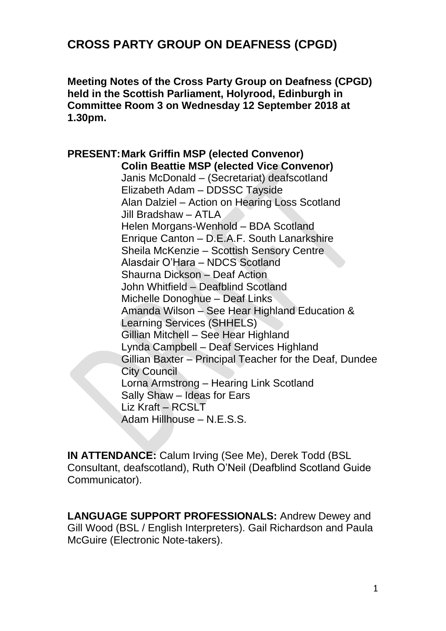# **CROSS PARTY GROUP ON DEAFNESS (CPGD)**

**Meeting Notes of the Cross Party Group on Deafness (CPGD) held in the Scottish Parliament, Holyrood, Edinburgh in Committee Room 3 on Wednesday 12 September 2018 at 1.30pm.**

**PRESENT:Mark Griffin MSP (elected Convenor) Colin Beattie MSP (elected Vice Convenor)** Janis McDonald – (Secretariat) deafscotland Elizabeth Adam – DDSSC Tayside Alan Dalziel – Action on Hearing Loss Scotland Jill Bradshaw – ATLA Helen Morgans-Wenhold – BDA Scotland Enrique Canton – D.E.A.F. South Lanarkshire Sheila McKenzie – Scottish Sensory Centre Alasdair O'Hara – NDCS Scotland Shaurna Dickson – Deaf Action John Whitfield – Deafblind Scotland Michelle Donoghue – Deaf Links Amanda Wilson – See Hear Highland Education & Learning Services (SHHELS) Gillian Mitchell – See Hear Highland Lynda Campbell – Deaf Services Highland Gillian Baxter – Principal Teacher for the Deaf, Dundee City Council Lorna Armstrong – Hearing Link Scotland Sally Shaw – Ideas for Ears Liz Kraft – RCSLT Adam Hillhouse – N.E.S.S.

**IN ATTENDANCE:** Calum Irving (See Me), Derek Todd (BSL Consultant, deafscotland), Ruth O'Neil (Deafblind Scotland Guide Communicator).

**LANGUAGE SUPPORT PROFESSIONALS:** Andrew Dewey and Gill Wood (BSL / English Interpreters). Gail Richardson and Paula McGuire (Electronic Note-takers).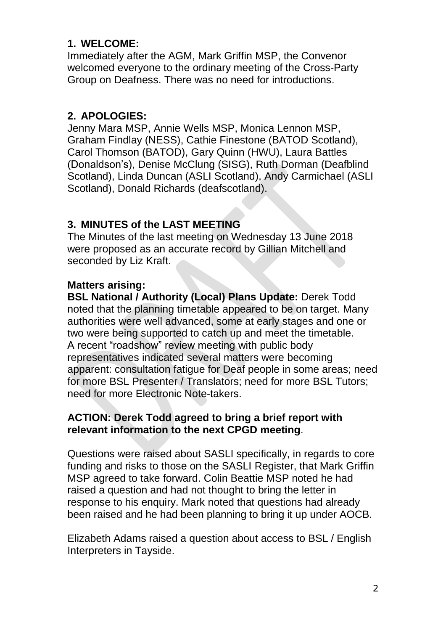## **1. WELCOME:**

Immediately after the AGM, Mark Griffin MSP, the Convenor welcomed everyone to the ordinary meeting of the Cross-Party Group on Deafness. There was no need for introductions.

## **2. APOLOGIES:**

Jenny Mara MSP, Annie Wells MSP, Monica Lennon MSP, Graham Findlay (NESS), Cathie Finestone (BATOD Scotland), Carol Thomson (BATOD), Gary Quinn (HWU), Laura Battles (Donaldson's), Denise McClung (SISG), Ruth Dorman (Deafblind Scotland), Linda Duncan (ASLI Scotland), Andy Carmichael (ASLI Scotland), Donald Richards (deafscotland).

# **3. MINUTES of the LAST MEETING**

The Minutes of the last meeting on Wednesday 13 June 2018 were proposed as an accurate record by Gillian Mitchell and seconded by Liz Kraft.

## **Matters arising:**

**BSL National / Authority (Local) Plans Update:** Derek Todd noted that the planning timetable appeared to be on target. Many authorities were well advanced, some at early stages and one or two were being supported to catch up and meet the timetable. A recent "roadshow" review meeting with public body representatives indicated several matters were becoming apparent: consultation fatigue for Deaf people in some areas; need for more BSL Presenter / Translators; need for more BSL Tutors; need for more Electronic Note-takers.

### **ACTION: Derek Todd agreed to bring a brief report with relevant information to the next CPGD meeting**.

Questions were raised about SASLI specifically, in regards to core funding and risks to those on the SASLI Register, that Mark Griffin MSP agreed to take forward. Colin Beattie MSP noted he had raised a question and had not thought to bring the letter in response to his enquiry. Mark noted that questions had already been raised and he had been planning to bring it up under AOCB.

Elizabeth Adams raised a question about access to BSL / English Interpreters in Tayside.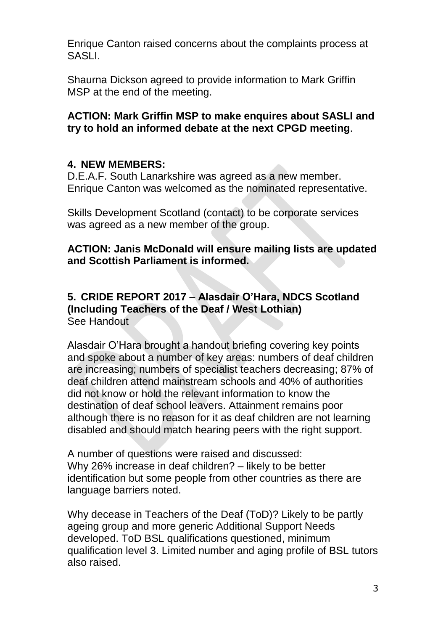Enrique Canton raised concerns about the complaints process at SASLI.

Shaurna Dickson agreed to provide information to Mark Griffin MSP at the end of the meeting.

#### **ACTION: Mark Griffin MSP to make enquires about SASLI and try to hold an informed debate at the next CPGD meeting**.

### **4. NEW MEMBERS:**

D.E.A.F. South Lanarkshire was agreed as a new member. Enrique Canton was welcomed as the nominated representative.

Skills Development Scotland (contact) to be corporate services was agreed as a new member of the group.

#### **ACTION: Janis McDonald will ensure mailing lists are updated and Scottish Parliament is informed.**

#### **5. CRIDE REPORT 2017 – Alasdair O'Hara, NDCS Scotland (Including Teachers of the Deaf / West Lothian)** See Handout

Alasdair O'Hara brought a handout briefing covering key points and spoke about a number of key areas: numbers of deaf children are increasing; numbers of specialist teachers decreasing; 87% of deaf children attend mainstream schools and 40% of authorities did not know or hold the relevant information to know the destination of deaf school leavers. Attainment remains poor although there is no reason for it as deaf children are not learning disabled and should match hearing peers with the right support.

A number of questions were raised and discussed: Why 26% increase in deaf children? – likely to be better identification but some people from other countries as there are language barriers noted.

Why decease in Teachers of the Deaf (ToD)? Likely to be partly ageing group and more generic Additional Support Needs developed. ToD BSL qualifications questioned, minimum qualification level 3. Limited number and aging profile of BSL tutors also raised.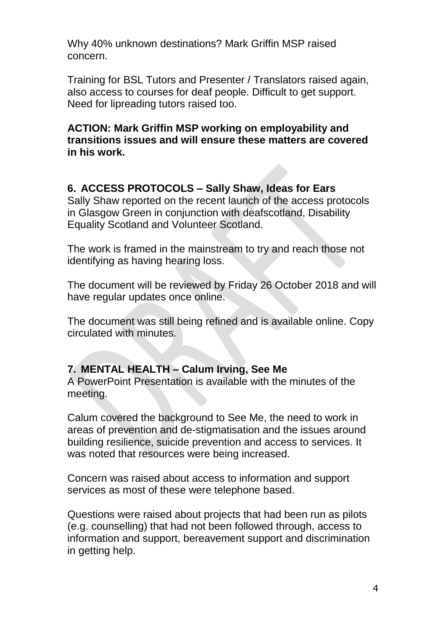Why 40% unknown destinations? Mark Griffin MSP raised concern.

Training for BSL Tutors and Presenter / Translators raised again, also access to courses for deaf people. Difficult to get support. Need for lipreading tutors raised too.

#### **ACTION: Mark Griffin MSP working on employability and transitions issues and will ensure these matters are covered in his work.**

## **6. ACCESS PROTOCOLS – Sally Shaw, Ideas for Ears**

Sally Shaw reported on the recent launch of the access protocols in Glasgow Green in conjunction with deafscotland, Disability Equality Scotland and Volunteer Scotland.

The work is framed in the mainstream to try and reach those not identifying as having hearing loss.

The document will be reviewed by Friday 26 October 2018 and will have regular updates once online.

The document was still being refined and is available online. Copy circulated with minutes.

#### **7. MENTAL HEALTH – Calum Irving, See Me**

A PowerPoint Presentation is available with the minutes of the meeting.

Calum covered the background to See Me, the need to work in areas of prevention and de-stigmatisation and the issues around building resilience, suicide prevention and access to services. It was noted that resources were being increased.

Concern was raised about access to information and support services as most of these were telephone based.

Questions were raised about projects that had been run as pilots (e.g. counselling) that had not been followed through, access to information and support, bereavement support and discrimination in getting help.